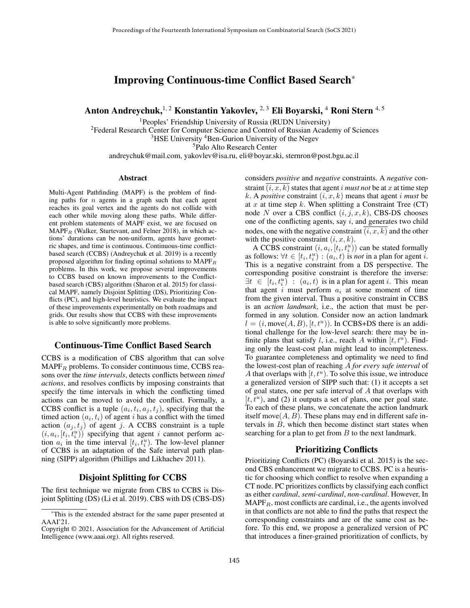# Improving Continuous-time Conflict Based Search\*

Anton Andreychuk, <sup>1, 2</sup> Konstantin Yakovlev, <sup>2, 3</sup> Eli Boyarski, <sup>4</sup> Roni Stern <sup>4, 5</sup>

<sup>1</sup>Peoples' Friendship University of Russia (RUDN University)

 $2$ Federal Research Center for Computer Science and Control of Russian Academy of Sciences

 $3$ HSE University  $4$ Ben-Gurion University of the Negev

<sup>5</sup>Palo Alto Research Center

andreychuk@mail.com, yakovlev@isa.ru, eli@boyar.ski, sternron@post.bgu.ac.il

#### Abstract

Multi-Agent Pathfinding (MAPF) is the problem of finding paths for  $n$  agents in a graph such that each agent reaches its goal vertex and the agents do not collide with each other while moving along these paths. While different problem statements of MAPF exist, we are focused on  $MAPF<sub>R</sub>$  (Walker, Sturtevant, and Felner 2018), in which actions' durations can be non-uniform, agents have geometric shapes, and time is continuous. Continuous-time conflictbased search (CCBS) (Andreychuk et al. 2019) is a recently proposed algorithm for finding optimal solutions to  $\text{MAPF}_R$ problems. In this work, we propose several improvements to CCBS based on known improvements to the Conflictbased search (CBS) algorithm (Sharon et al. 2015) for classical MAPF, namely Disjoint Splitting (DS), Prioritizing Conflicts (PC), and high-level heuristics. We evaluate the impact of these improvements experimentally on both roadmaps and grids. Our results show that CCBS with these improvements is able to solve significantly more problems.

## Continuous-Time Conflict Based Search

CCBS is a modification of CBS algorithm that can solve  $MAPF<sub>B</sub>$  problems. To consider continuous time, CCBS reasons over the *time intervals*, detects conflicts between *timed actions*, and resolves conflicts by imposing constraints that specify the time intervals in which the conflicting timed actions can be moved to avoid the conflict. Formally, a CCBS conflict is a tuple  $(a_i, t_i, a_j, t_j)$ , specifying that the timed action  $(a_i, t_i)$  of agent i has a conflict with the timed action  $(a_j, t_j)$  of agent j. A CCBS constraint is a tuple  $(i, a_i, [t_i, t_i^u))$  specifying that agent i cannot perform action  $a_i$  in the time interval  $[t_i, t_i^u)$ . The low-level planner of CCBS is an adaptation of the Safe interval path planning (SIPP) algorithm (Phillips and Likhachev 2011).

### Disjoint Splitting for CCBS

The first technique we migrate from CBS to CCBS is Disjoint Splitting (DS) (Li et al. 2019). CBS with DS (CBS-DS) considers *positive* and *negative* constraints. A *negative* constraint  $(i, x, k)$  states that agent i *must not* be at x at time step k. A *positive* constraint  $(i, x, k)$  means that agent i *must* be at x at time step k. When splitting a Constraint Tree  $(CT)$ node N over a CBS conflict  $(i, j, x, k)$ , CBS-DS chooses one of the conflicting agents, say  $i$ , and generates two child nodes, one with the negative constraint  $(i, x, k)$  and the other with the positive constraint  $(i, x, k)$ .

A CCBS constraint  $(i, a_i, [t_i, t_i^u))$  can be stated formally as follows:  $\forall t \in [t_i, t_i^u) : (a_i, t)$  is *not* in a plan for agent *i*. This is a negative constraint from a DS perspective. The corresponding positive constraint is therefore the inverse:  $\exists t \in [t_i, t_i^u]$ :  $(a_i, t)$  is in a plan for agent *i*. This mean that agent  $i$  must perform  $a_i$  at some moment of time from the given interval. Thus a positive constraint in CCBS is an *action landmark*, i.e., the action that must be performed in any solution. Consider now an action landmark  $l = (i, \text{move}(A, B), [t, t^u))$ . In CCBS+DS there is an additional challenge for the low-level search: there may be infinite plans that satisfy l, i.e., reach A within  $[t, t^u)$ . Finding only the least-cost plan might lead to incompleteness. To guarantee completeness and optimality we need to find the lowest-cost plan of reaching A *for every safe interval* of A that overlaps with  $[t, t^u)$ . To solve this issue, we introduce a generalized version of SIPP such that: (1) it accepts a set of goal states, one per safe interval of A that overlaps with  $[t, t<sup>u</sup>)$ , and (2) it outputs a set of plans, one per goal state. To each of these plans, we concatenate the action landmark itself move $(A, B)$ . These plans may end in different safe intervals in B, which then become distinct start states when searching for a plan to get from  $B$  to the next landmark.

### Prioritizing Conflicts

Prioritizing Conflicts (PC) (Boyarski et al. 2015) is the second CBS enhancement we migrate to CCBS. PC is a heuristic for choosing which conflict to resolve when expanding a CT node. PC prioritizes conflicts by classifying each conflict as either *cardinal*, *semi-cardinal*, *non-cardinal*. However, In  $\text{MAPF}_R$ , most conflicts are cardinal, i.e., the agents involved in that conflicts are not able to find the paths that respect the corresponding constraints and are of the same cost as before. To this end, we propose a generalized version of PC that introduces a finer-grained prioritization of conflicts, by

<sup>\*</sup>This is the extended abstract for the same paper presented at AAAI'21.

Copyright © 2021, Association for the Advancement of Artificial Intelligence (www.aaai.org). All rights reserved.